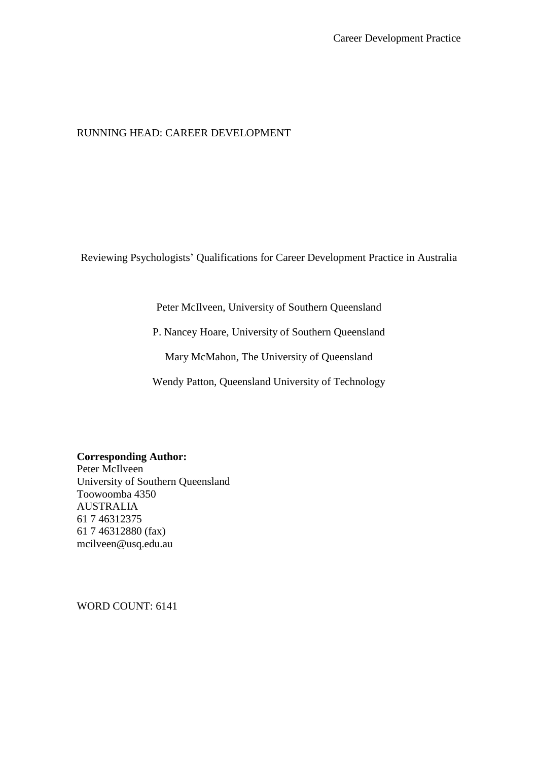## RUNNING HEAD: CAREER DEVELOPMENT

Reviewing Psychologists' Qualifications for Career Development Practice in Australia

Peter McIlveen, University of Southern Queensland

P. Nancey Hoare, University of Southern Queensland

Mary McMahon, The University of Queensland

Wendy Patton, Queensland University of Technology

**Corresponding Author:**

Peter McIlveen University of Southern Queensland Toowoomba 4350 AUSTRALIA 61 7 46312375 61 7 46312880 (fax) mcilveen@usq.edu.au

WORD COUNT: 6141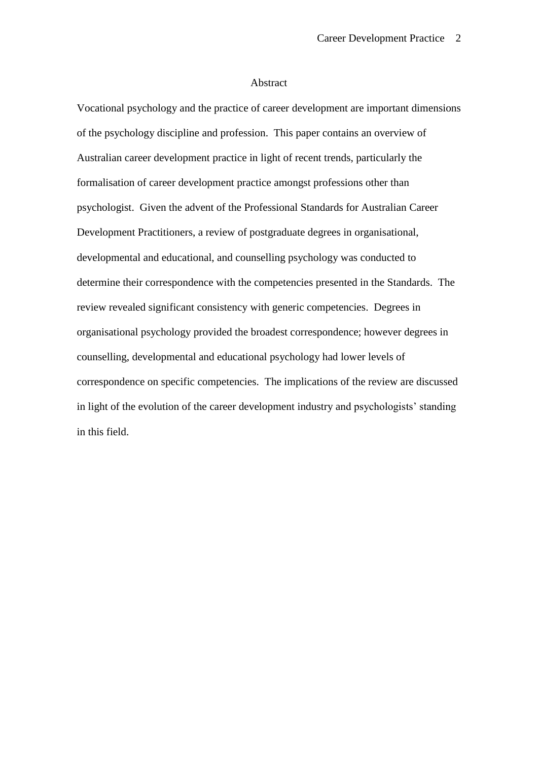### Abstract

Vocational psychology and the practice of career development are important dimensions of the psychology discipline and profession. This paper contains an overview of Australian career development practice in light of recent trends, particularly the formalisation of career development practice amongst professions other than psychologist. Given the advent of the Professional Standards for Australian Career Development Practitioners, a review of postgraduate degrees in organisational, developmental and educational, and counselling psychology was conducted to determine their correspondence with the competencies presented in the Standards. The review revealed significant consistency with generic competencies. Degrees in organisational psychology provided the broadest correspondence; however degrees in counselling, developmental and educational psychology had lower levels of correspondence on specific competencies. The implications of the review are discussed in light of the evolution of the career development industry and psychologists' standing in this field.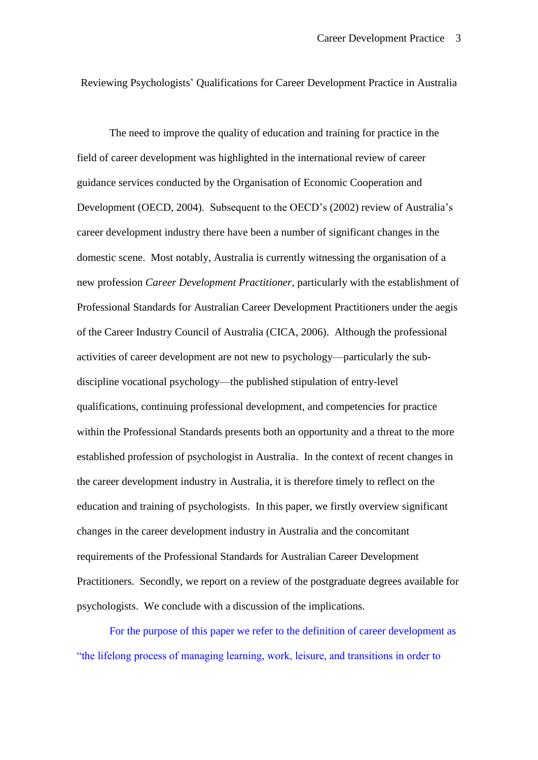Reviewing Psychologists' Qualifications for Career Development Practice in Australia

The need to improve the quality of education and training for practice in the field of career development was highlighted in the international review of career guidance services conducted by the Organisation of Economic Cooperation and Development (OECD, 2004). Subsequent to the OECD's (2002) review of Australia's career development industry there have been a number of significant changes in the domestic scene. Most notably, Australia is currently witnessing the organisation of a new profession *Career Development Practitioner*, particularly with the establishment of Professional Standards for Australian Career Development Practitioners under the aegis of the Career Industry Council of Australia (CICA, 2006). Although the professional activities of career development are not new to psychology—particularly the subdiscipline vocational psychology—the published stipulation of entry-level qualifications, continuing professional development, and competencies for practice within the Professional Standards presents both an opportunity and a threat to the more established profession of psychologist in Australia. In the context of recent changes in the career development industry in Australia, it is therefore timely to reflect on the education and training of psychologists. In this paper, we firstly overview significant changes in the career development industry in Australia and the concomitant requirements of the Professional Standards for Australian Career Development Practitioners. Secondly, we report on a review of the postgraduate degrees available for psychologists. We conclude with a discussion of the implications.

For the purpose of this paper we refer to the definition of career development as "the lifelong process of managing learning, work, leisure, and transitions in order to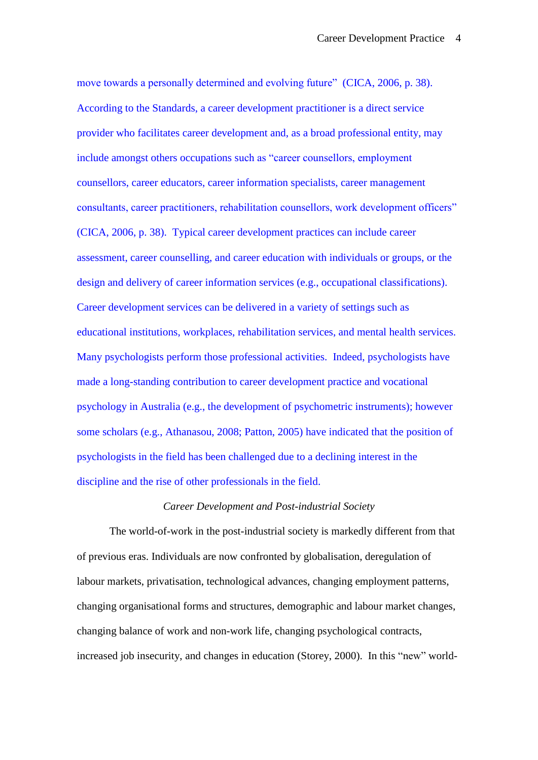move towards a personally determined and evolving future" (CICA, 2006, p. 38). According to the Standards, a career development practitioner is a direct service provider who facilitates career development and, as a broad professional entity, may include amongst others occupations such as "career counsellors, employment counsellors, career educators, career information specialists, career management consultants, career practitioners, rehabilitation counsellors, work development officers" (CICA, 2006, p. 38). Typical career development practices can include career assessment, career counselling, and career education with individuals or groups, or the design and delivery of career information services (e.g., occupational classifications). Career development services can be delivered in a variety of settings such as educational institutions, workplaces, rehabilitation services, and mental health services. Many psychologists perform those professional activities. Indeed, psychologists have made a long-standing contribution to career development practice and vocational psychology in Australia (e.g., the development of psychometric instruments); however some scholars (e.g., Athanasou, 2008; Patton, 2005) have indicated that the position of psychologists in the field has been challenged due to a declining interest in the discipline and the rise of other professionals in the field.

### *Career Development and Post-industrial Society*

The world-of-work in the post-industrial society is markedly different from that of previous eras. Individuals are now confronted by globalisation, deregulation of labour markets, privatisation, technological advances, changing employment patterns, changing organisational forms and structures, demographic and labour market changes, changing balance of work and non-work life, changing psychological contracts, increased job insecurity, and changes in education (Storey, 2000). In this "new" world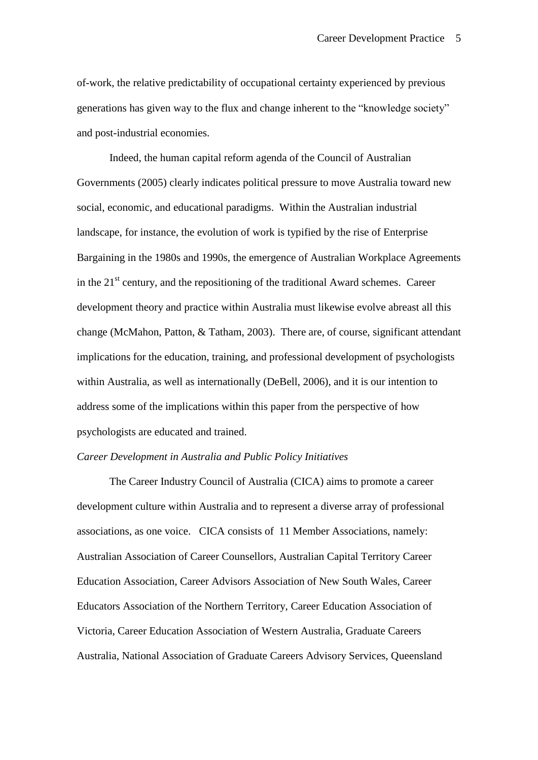of-work, the relative predictability of occupational certainty experienced by previous generations has given way to the flux and change inherent to the "knowledge society" and post-industrial economies.

Indeed, the human capital reform agenda of the Council of Australian Governments (2005) clearly indicates political pressure to move Australia toward new social, economic, and educational paradigms. Within the Australian industrial landscape, for instance, the evolution of work is typified by the rise of Enterprise Bargaining in the 1980s and 1990s, the emergence of Australian Workplace Agreements in the  $21<sup>st</sup>$  century, and the repositioning of the traditional Award schemes. Career development theory and practice within Australia must likewise evolve abreast all this change (McMahon, Patton, & Tatham, 2003). There are, of course, significant attendant implications for the education, training, and professional development of psychologists within Australia, as well as internationally (DeBell, 2006), and it is our intention to address some of the implications within this paper from the perspective of how psychologists are educated and trained.

### *Career Development in Australia and Public Policy Initiatives*

The Career Industry Council of Australia (CICA) aims to promote a career development culture within Australia and to represent a diverse array of professional associations, as one voice. CICA consists of 11 Member Associations, namely: Australian Association of Career Counsellors, Australian Capital Territory Career Education Association, Career Advisors Association of New South Wales, Career Educators Association of the Northern Territory, Career Education Association of Victoria, Career Education Association of Western Australia, Graduate Careers Australia, National Association of Graduate Careers Advisory Services, Queensland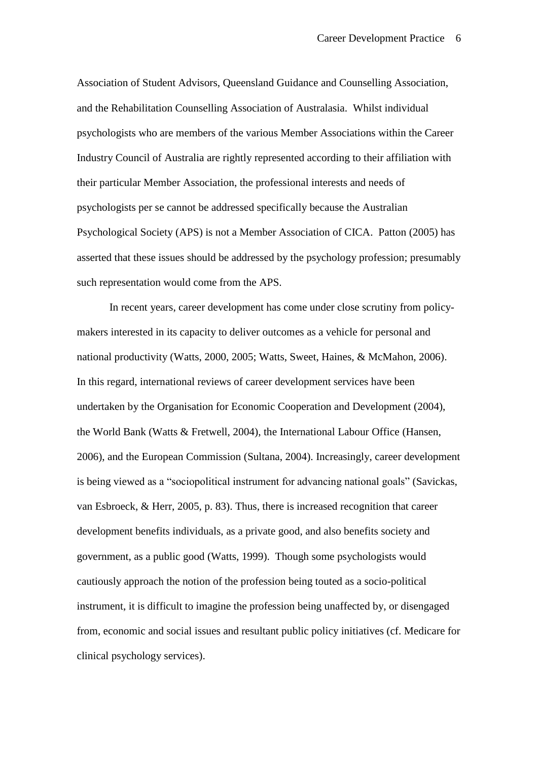Association of Student Advisors, Queensland Guidance and Counselling Association, and the Rehabilitation Counselling Association of Australasia. Whilst individual psychologists who are members of the various Member Associations within the Career Industry Council of Australia are rightly represented according to their affiliation with their particular Member Association, the professional interests and needs of psychologists per se cannot be addressed specifically because the Australian Psychological Society (APS) is not a Member Association of CICA. Patton (2005) has asserted that these issues should be addressed by the psychology profession; presumably such representation would come from the APS.

In recent years, career development has come under close scrutiny from policymakers interested in its capacity to deliver outcomes as a vehicle for personal and national productivity (Watts, 2000, 2005; Watts, Sweet, Haines, & McMahon, 2006). In this regard, international reviews of career development services have been undertaken by the Organisation for Economic Cooperation and Development (2004), the World Bank (Watts & Fretwell, 2004), the International Labour Office (Hansen, 2006), and the European Commission (Sultana, 2004). Increasingly, career development is being viewed as a "sociopolitical instrument for advancing national goals" (Savickas, van Esbroeck, & Herr, 2005, p. 83). Thus, there is increased recognition that career development benefits individuals, as a private good, and also benefits society and government, as a public good (Watts, 1999). Though some psychologists would cautiously approach the notion of the profession being touted as a socio-political instrument, it is difficult to imagine the profession being unaffected by, or disengaged from, economic and social issues and resultant public policy initiatives (cf. Medicare for clinical psychology services).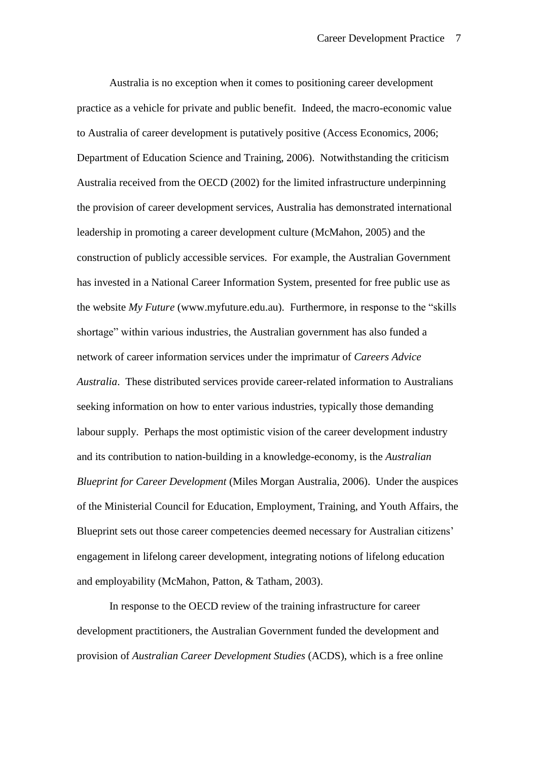Australia is no exception when it comes to positioning career development practice as a vehicle for private and public benefit. Indeed, the macro-economic value to Australia of career development is putatively positive (Access Economics, 2006; Department of Education Science and Training, 2006). Notwithstanding the criticism Australia received from the OECD (2002) for the limited infrastructure underpinning the provision of career development services, Australia has demonstrated international leadership in promoting a career development culture (McMahon, 2005) and the construction of publicly accessible services. For example, the Australian Government has invested in a National Career Information System, presented for free public use as the website *My Future* (www.myfuture.edu.au). Furthermore, in response to the "skills" shortage" within various industries, the Australian government has also funded a network of career information services under the imprimatur of *Careers Advice Australia*. These distributed services provide career-related information to Australians seeking information on how to enter various industries, typically those demanding labour supply. Perhaps the most optimistic vision of the career development industry and its contribution to nation-building in a knowledge-economy, is the *Australian Blueprint for Career Development* (Miles Morgan Australia, 2006). Under the auspices of the Ministerial Council for Education, Employment, Training, and Youth Affairs, the Blueprint sets out those career competencies deemed necessary for Australian citizens' engagement in lifelong career development, integrating notions of lifelong education and employability (McMahon, Patton, & Tatham, 2003).

In response to the OECD review of the training infrastructure for career development practitioners, the Australian Government funded the development and provision of *Australian Career Development Studies* (ACDS), which is a free online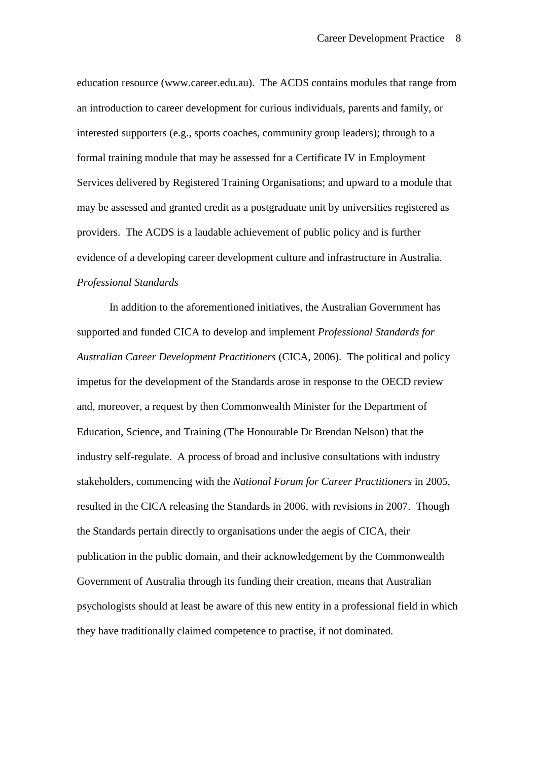education resource (www.career.edu.au). The ACDS contains modules that range from an introduction to career development for curious individuals, parents and family, or interested supporters (e.g., sports coaches, community group leaders); through to a formal training module that may be assessed for a Certificate IV in Employment Services delivered by Registered Training Organisations; and upward to a module that may be assessed and granted credit as a postgraduate unit by universities registered as providers. The ACDS is a laudable achievement of public policy and is further evidence of a developing career development culture and infrastructure in Australia. *Professional Standards*

In addition to the aforementioned initiatives, the Australian Government has supported and funded CICA to develop and implement *Professional Standards for Australian Career Development Practitioners* (CICA, 2006). The political and policy impetus for the development of the Standards arose in response to the OECD review and, moreover, a request by then Commonwealth Minister for the Department of Education, Science, and Training (The Honourable Dr Brendan Nelson) that the industry self-regulate. A process of broad and inclusive consultations with industry stakeholders, commencing with the *National Forum for Career Practitioners* in 2005, resulted in the CICA releasing the Standards in 2006, with revisions in 2007. Though the Standards pertain directly to organisations under the aegis of CICA, their publication in the public domain, and their acknowledgement by the Commonwealth Government of Australia through its funding their creation, means that Australian psychologists should at least be aware of this new entity in a professional field in which they have traditionally claimed competence to practise, if not dominated.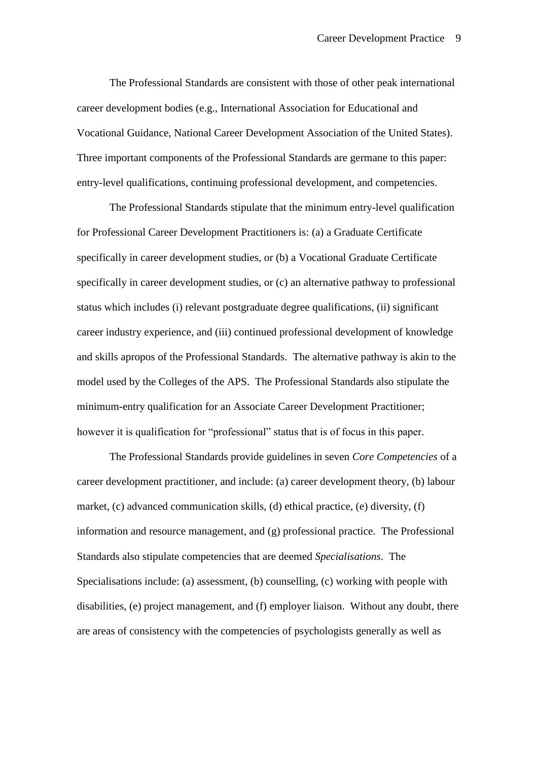The Professional Standards are consistent with those of other peak international career development bodies (e.g., International Association for Educational and Vocational Guidance, National Career Development Association of the United States). Three important components of the Professional Standards are germane to this paper: entry-level qualifications, continuing professional development, and competencies.

The Professional Standards stipulate that the minimum entry-level qualification for Professional Career Development Practitioners is: (a) a Graduate Certificate specifically in career development studies, or (b) a Vocational Graduate Certificate specifically in career development studies, or (c) an alternative pathway to professional status which includes (i) relevant postgraduate degree qualifications, (ii) significant career industry experience, and (iii) continued professional development of knowledge and skills apropos of the Professional Standards. The alternative pathway is akin to the model used by the Colleges of the APS. The Professional Standards also stipulate the minimum-entry qualification for an Associate Career Development Practitioner; however it is qualification for "professional" status that is of focus in this paper.

The Professional Standards provide guidelines in seven *Core Competencies* of a career development practitioner, and include: (a) career development theory, (b) labour market, (c) advanced communication skills, (d) ethical practice, (e) diversity, (f) information and resource management, and (g) professional practice. The Professional Standards also stipulate competencies that are deemed *Specialisations*. The Specialisations include: (a) assessment, (b) counselling, (c) working with people with disabilities, (e) project management, and (f) employer liaison. Without any doubt, there are areas of consistency with the competencies of psychologists generally as well as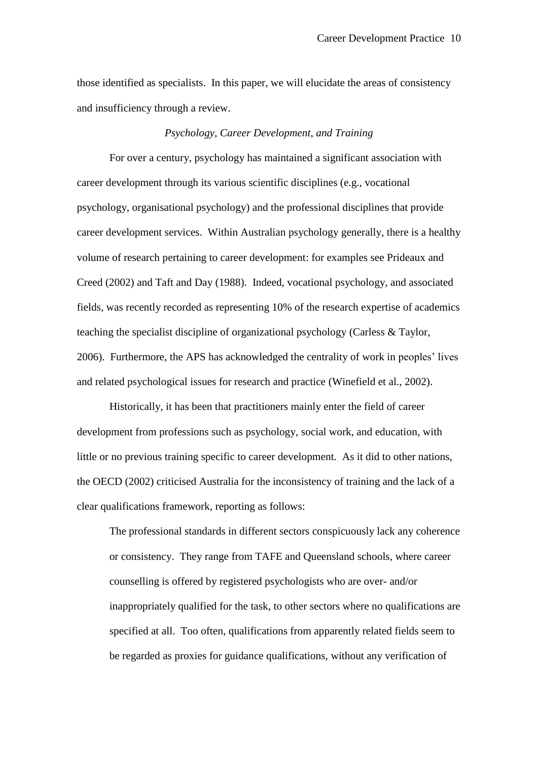those identified as specialists. In this paper, we will elucidate the areas of consistency and insufficiency through a review.

### *Psychology, Career Development, and Training*

For over a century, psychology has maintained a significant association with career development through its various scientific disciplines (e.g., vocational psychology, organisational psychology) and the professional disciplines that provide career development services. Within Australian psychology generally, there is a healthy volume of research pertaining to career development: for examples see Prideaux and Creed (2002) and Taft and Day (1988). Indeed, vocational psychology, and associated fields, was recently recorded as representing 10% of the research expertise of academics teaching the specialist discipline of organizational psychology (Carless & Taylor, 2006). Furthermore, the APS has acknowledged the centrality of work in peoples' lives and related psychological issues for research and practice (Winefield et al., 2002).

Historically, it has been that practitioners mainly enter the field of career development from professions such as psychology, social work, and education, with little or no previous training specific to career development. As it did to other nations, the OECD (2002) criticised Australia for the inconsistency of training and the lack of a clear qualifications framework, reporting as follows:

The professional standards in different sectors conspicuously lack any coherence or consistency. They range from TAFE and Queensland schools, where career counselling is offered by registered psychologists who are over- and/or inappropriately qualified for the task, to other sectors where no qualifications are specified at all. Too often, qualifications from apparently related fields seem to be regarded as proxies for guidance qualifications, without any verification of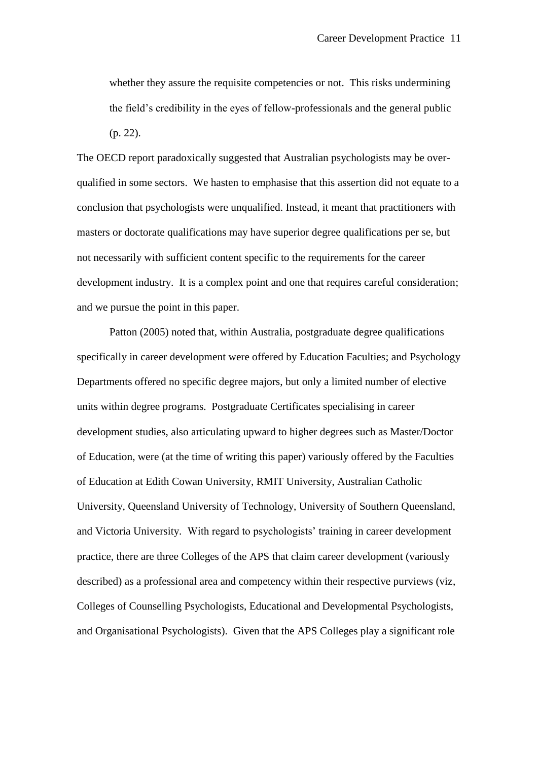whether they assure the requisite competencies or not. This risks undermining the field's credibility in the eyes of fellow-professionals and the general public (p. 22).

The OECD report paradoxically suggested that Australian psychologists may be overqualified in some sectors. We hasten to emphasise that this assertion did not equate to a conclusion that psychologists were unqualified. Instead, it meant that practitioners with masters or doctorate qualifications may have superior degree qualifications per se, but not necessarily with sufficient content specific to the requirements for the career development industry. It is a complex point and one that requires careful consideration; and we pursue the point in this paper.

Patton (2005) noted that, within Australia, postgraduate degree qualifications specifically in career development were offered by Education Faculties; and Psychology Departments offered no specific degree majors, but only a limited number of elective units within degree programs. Postgraduate Certificates specialising in career development studies, also articulating upward to higher degrees such as Master/Doctor of Education, were (at the time of writing this paper) variously offered by the Faculties of Education at Edith Cowan University, RMIT University, Australian Catholic University, Queensland University of Technology, University of Southern Queensland, and Victoria University. With regard to psychologists' training in career development practice, there are three Colleges of the APS that claim career development (variously described) as a professional area and competency within their respective purviews (viz, Colleges of Counselling Psychologists, Educational and Developmental Psychologists, and Organisational Psychologists). Given that the APS Colleges play a significant role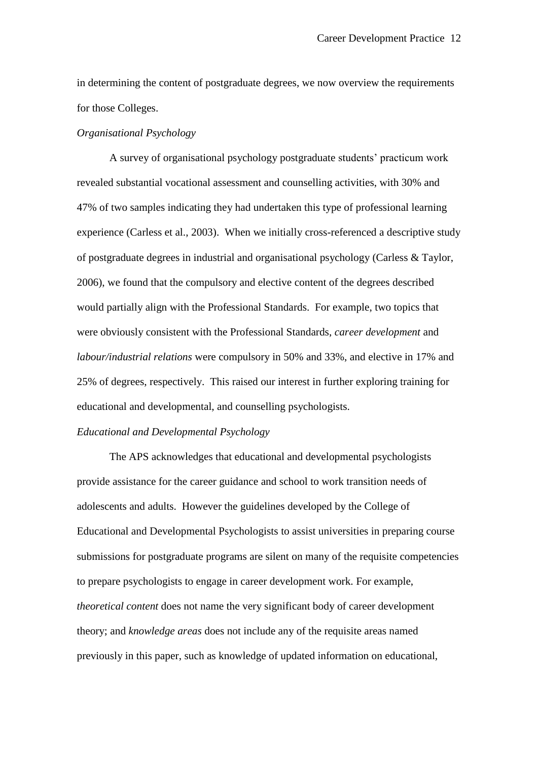in determining the content of postgraduate degrees, we now overview the requirements for those Colleges.

# *Organisational Psychology*

A survey of organisational psychology postgraduate students' practicum work revealed substantial vocational assessment and counselling activities, with 30% and 47% of two samples indicating they had undertaken this type of professional learning experience (Carless et al., 2003). When we initially cross-referenced a descriptive study of postgraduate degrees in industrial and organisational psychology (Carless & Taylor, 2006), we found that the compulsory and elective content of the degrees described would partially align with the Professional Standards. For example, two topics that were obviously consistent with the Professional Standards, *career development* and *labour/industrial relations* were compulsory in 50% and 33%, and elective in 17% and 25% of degrees, respectively. This raised our interest in further exploring training for educational and developmental, and counselling psychologists.

# *Educational and Developmental Psychology*

The APS acknowledges that educational and developmental psychologists provide assistance for the career guidance and school to work transition needs of adolescents and adults. However the guidelines developed by the College of Educational and Developmental Psychologists to assist universities in preparing course submissions for postgraduate programs are silent on many of the requisite competencies to prepare psychologists to engage in career development work. For example, *theoretical content* does not name the very significant body of career development theory; and *knowledge areas* does not include any of the requisite areas named previously in this paper, such as knowledge of updated information on educational,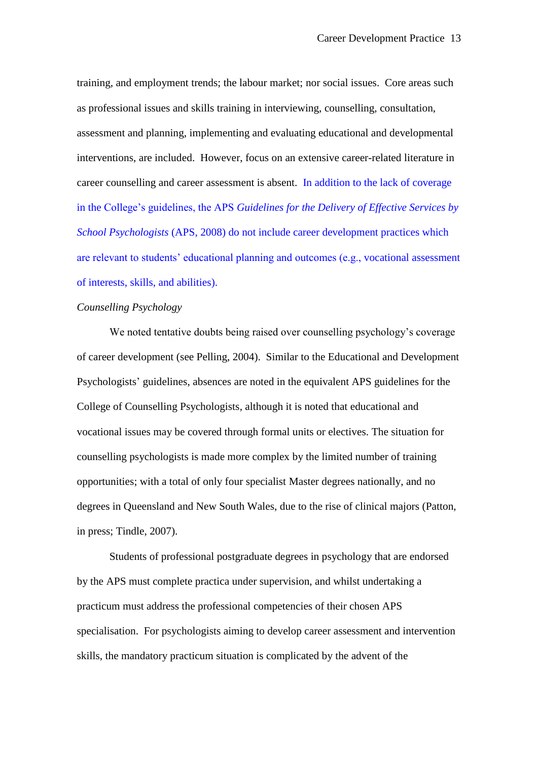training, and employment trends; the labour market; nor social issues. Core areas such as professional issues and skills training in interviewing, counselling, consultation, assessment and planning, implementing and evaluating educational and developmental interventions, are included. However, focus on an extensive career-related literature in career counselling and career assessment is absent. In addition to the lack of coverage in the College's guidelines, the APS *Guidelines for the Delivery of Effective Services by School Psychologists* (APS, 2008) do not include career development practices which are relevant to students' educational planning and outcomes (e.g., vocational assessment of interests, skills, and abilities).

### *Counselling Psychology*

We noted tentative doubts being raised over counselling psychology's coverage of career development (see Pelling, 2004). Similar to the Educational and Development Psychologists' guidelines, absences are noted in the equivalent APS guidelines for the College of Counselling Psychologists, although it is noted that educational and vocational issues may be covered through formal units or electives. The situation for counselling psychologists is made more complex by the limited number of training opportunities; with a total of only four specialist Master degrees nationally, and no degrees in Queensland and New South Wales, due to the rise of clinical majors (Patton, in press; Tindle, 2007).

Students of professional postgraduate degrees in psychology that are endorsed by the APS must complete practica under supervision, and whilst undertaking a practicum must address the professional competencies of their chosen APS specialisation. For psychologists aiming to develop career assessment and intervention skills, the mandatory practicum situation is complicated by the advent of the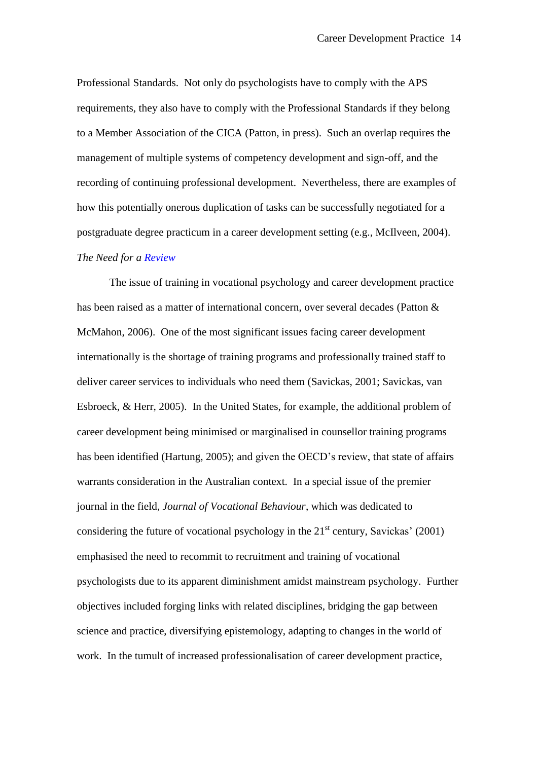Professional Standards. Not only do psychologists have to comply with the APS requirements, they also have to comply with the Professional Standards if they belong to a Member Association of the CICA (Patton, in press). Such an overlap requires the management of multiple systems of competency development and sign-off, and the recording of continuing professional development. Nevertheless, there are examples of how this potentially onerous duplication of tasks can be successfully negotiated for a postgraduate degree practicum in a career development setting (e.g., McIlveen, 2004). *The Need for a Review*

The issue of training in vocational psychology and career development practice has been raised as a matter of international concern, over several decades (Patton & McMahon, 2006). One of the most significant issues facing career development internationally is the shortage of training programs and professionally trained staff to deliver career services to individuals who need them (Savickas, 2001; Savickas, van Esbroeck, & Herr, 2005). In the United States, for example, the additional problem of career development being minimised or marginalised in counsellor training programs has been identified (Hartung, 2005); and given the OECD's review, that state of affairs warrants consideration in the Australian context. In a special issue of the premier journal in the field, *Journal of Vocational Behaviour*, which was dedicated to considering the future of vocational psychology in the  $21<sup>st</sup>$  century, Savickas' (2001) emphasised the need to recommit to recruitment and training of vocational psychologists due to its apparent diminishment amidst mainstream psychology. Further objectives included forging links with related disciplines, bridging the gap between science and practice, diversifying epistemology, adapting to changes in the world of work. In the tumult of increased professionalisation of career development practice,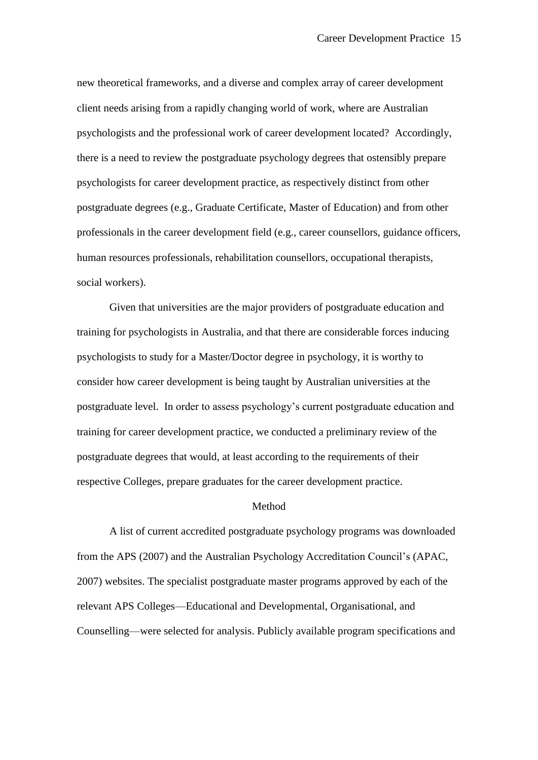new theoretical frameworks, and a diverse and complex array of career development client needs arising from a rapidly changing world of work, where are Australian psychologists and the professional work of career development located? Accordingly, there is a need to review the postgraduate psychology degrees that ostensibly prepare psychologists for career development practice, as respectively distinct from other postgraduate degrees (e.g., Graduate Certificate, Master of Education) and from other professionals in the career development field (e.g., career counsellors, guidance officers, human resources professionals, rehabilitation counsellors, occupational therapists, social workers).

Given that universities are the major providers of postgraduate education and training for psychologists in Australia, and that there are considerable forces inducing psychologists to study for a Master/Doctor degree in psychology, it is worthy to consider how career development is being taught by Australian universities at the postgraduate level. In order to assess psychology's current postgraduate education and training for career development practice, we conducted a preliminary review of the postgraduate degrees that would, at least according to the requirements of their respective Colleges, prepare graduates for the career development practice.

#### Method

A list of current accredited postgraduate psychology programs was downloaded from the APS (2007) and the Australian Psychology Accreditation Council's (APAC, 2007) websites. The specialist postgraduate master programs approved by each of the relevant APS Colleges—Educational and Developmental, Organisational, and Counselling—were selected for analysis. Publicly available program specifications and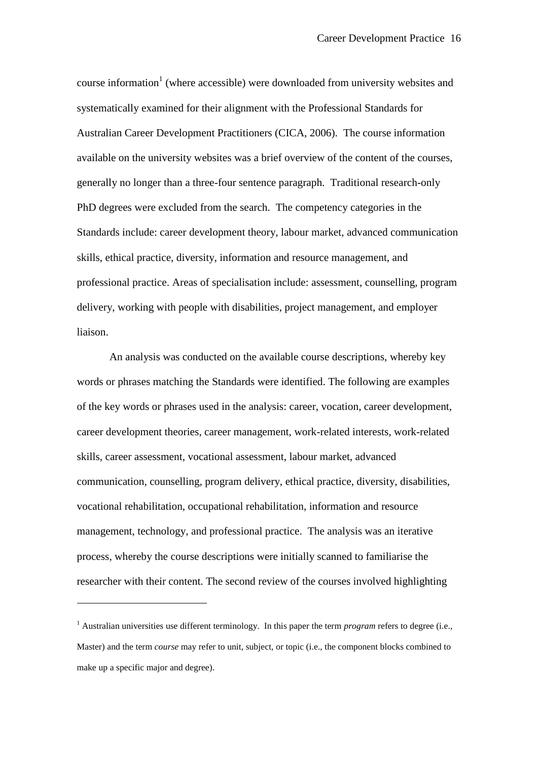course information 1 (where accessible) were downloaded from university websites and systematically examined for their alignment with the Professional Standards for Australian Career Development Practitioners (CICA, 2006). The course information available on the university websites was a brief overview of the content of the courses, generally no longer than a three-four sentence paragraph. Traditional research-only PhD degrees were excluded from the search. The competency categories in the Standards include: career development theory, labour market, advanced communication skills, ethical practice, diversity, information and resource management, and professional practice. Areas of specialisation include: assessment, counselling, program delivery, working with people with disabilities, project management, and employer liaison.

An analysis was conducted on the available course descriptions, whereby key words or phrases matching the Standards were identified. The following are examples of the key words or phrases used in the analysis: career, vocation, career development, career development theories, career management, work-related interests, work-related skills, career assessment, vocational assessment, labour market, advanced communication, counselling, program delivery, ethical practice, diversity, disabilities, vocational rehabilitation, occupational rehabilitation, information and resource management, technology, and professional practice. The analysis was an iterative process, whereby the course descriptions were initially scanned to familiarise the researcher with their content. The second review of the courses involved highlighting

1

<sup>1</sup> Australian universities use different terminology. In this paper the term *program* refers to degree (i.e., Master) and the term *course* may refer to unit, subject, or topic (i.e., the component blocks combined to make up a specific major and degree).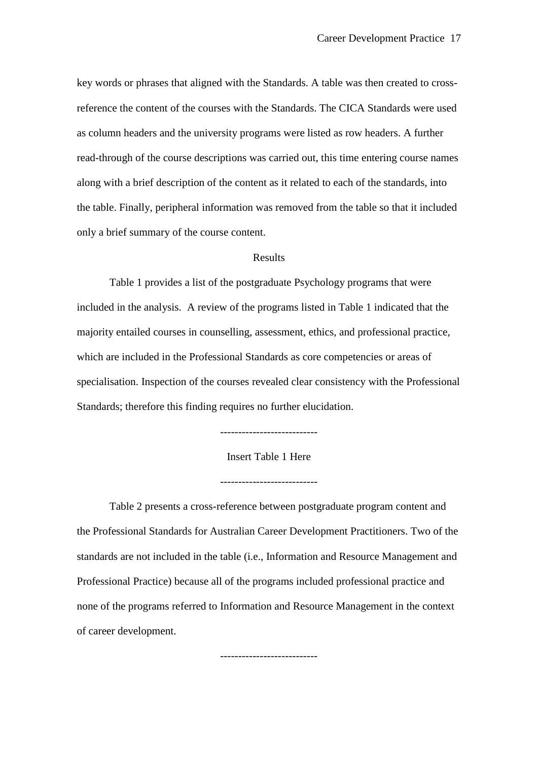key words or phrases that aligned with the Standards. A table was then created to crossreference the content of the courses with the Standards. The CICA Standards were used as column headers and the university programs were listed as row headers. A further read-through of the course descriptions was carried out, this time entering course names along with a brief description of the content as it related to each of the standards, into the table. Finally, peripheral information was removed from the table so that it included only a brief summary of the course content.

#### Results

Table 1 provides a list of the postgraduate Psychology programs that were included in the analysis. A review of the programs listed in Table 1 indicated that the majority entailed courses in counselling, assessment, ethics, and professional practice, which are included in the Professional Standards as core competencies or areas of specialisation. Inspection of the courses revealed clear consistency with the Professional Standards; therefore this finding requires no further elucidation.

---------------------------

Insert Table 1 Here

---------------------------

Table 2 presents a cross-reference between postgraduate program content and the Professional Standards for Australian Career Development Practitioners. Two of the standards are not included in the table (i.e., Information and Resource Management and Professional Practice) because all of the programs included professional practice and none of the programs referred to Information and Resource Management in the context of career development.

---------------------------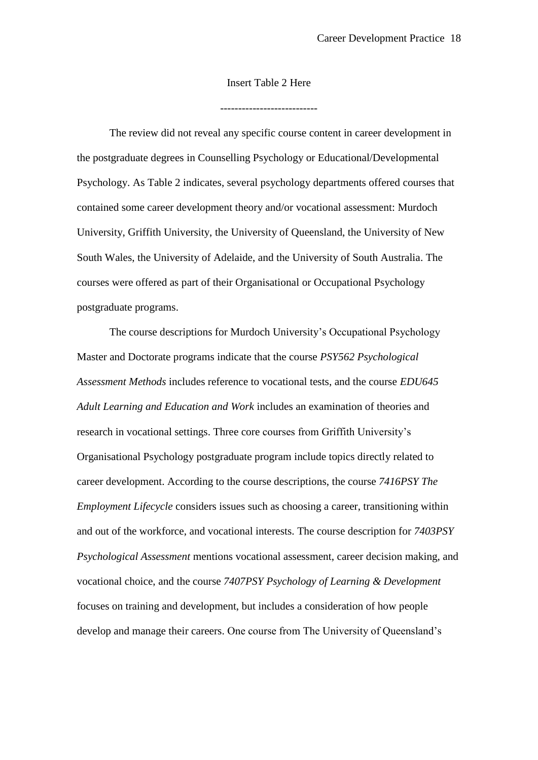### Insert Table 2 Here

The review did not reveal any specific course content in career development in the postgraduate degrees in Counselling Psychology or Educational/Developmental Psychology. As Table 2 indicates, several psychology departments offered courses that contained some career development theory and/or vocational assessment: Murdoch University, Griffith University, the University of Queensland, the University of New South Wales, the University of Adelaide, and the University of South Australia. The courses were offered as part of their Organisational or Occupational Psychology postgraduate programs.

The course descriptions for Murdoch University's Occupational Psychology Master and Doctorate programs indicate that the course *PSY562 Psychological Assessment Methods* includes reference to vocational tests, and the course *EDU645 Adult Learning and Education and Work* includes an examination of theories and research in vocational settings. Three core courses from Griffith University's Organisational Psychology postgraduate program include topics directly related to career development. According to the course descriptions, the course *7416PSY The Employment Lifecycle* considers issues such as choosing a career, transitioning within and out of the workforce, and vocational interests. The course description for *7403PSY Psychological Assessment* mentions vocational assessment, career decision making, and vocational choice, and the course *7407PSY Psychology of Learning & Development* focuses on training and development, but includes a consideration of how people develop and manage their careers. One course from The University of Queensland's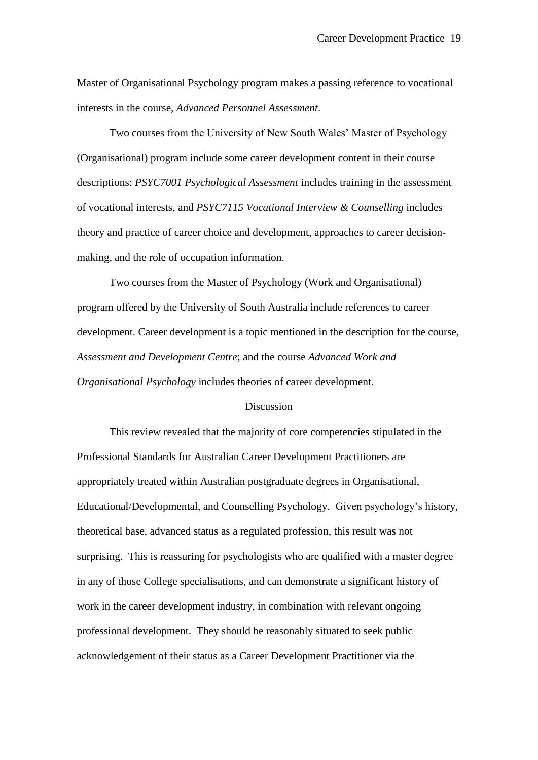Master of Organisational Psychology program makes a passing reference to vocational interests in the course, *Advanced Personnel Assessment*.

Two courses from the University of New South Wales' Master of Psychology (Organisational) program include some career development content in their course descriptions: *PSYC7001 Psychological Assessment* includes training in the assessment of vocational interests, and *PSYC7115 Vocational Interview & Counselling* includes theory and practice of career choice and development, approaches to career decisionmaking, and the role of occupation information.

Two courses from the Master of Psychology (Work and Organisational) program offered by the University of South Australia include references to career development. Career development is a topic mentioned in the description for the course, *Assessment and Development Centre*; and the course *Advanced Work and Organisational Psychology* includes theories of career development.

### **Discussion**

This review revealed that the majority of core competencies stipulated in the Professional Standards for Australian Career Development Practitioners are appropriately treated within Australian postgraduate degrees in Organisational, Educational/Developmental, and Counselling Psychology. Given psychology's history, theoretical base, advanced status as a regulated profession, this result was not surprising. This is reassuring for psychologists who are qualified with a master degree in any of those College specialisations, and can demonstrate a significant history of work in the career development industry, in combination with relevant ongoing professional development. They should be reasonably situated to seek public acknowledgement of their status as a Career Development Practitioner via the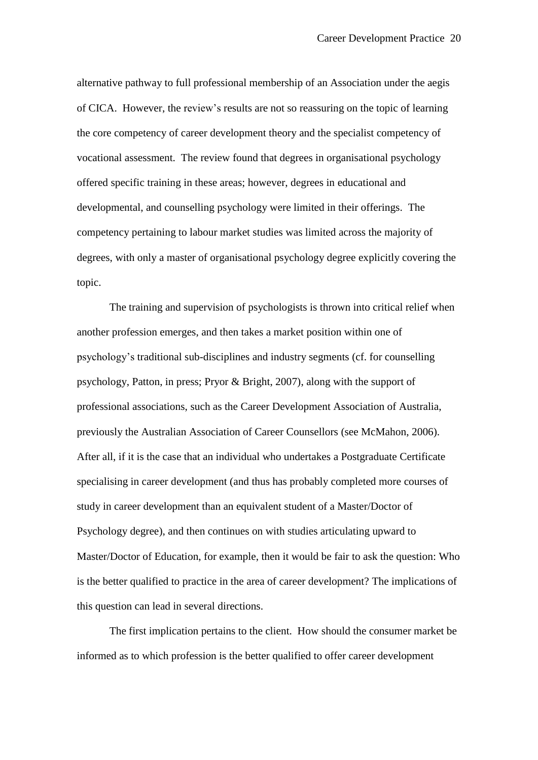alternative pathway to full professional membership of an Association under the aegis of CICA. However, the review's results are not so reassuring on the topic of learning the core competency of career development theory and the specialist competency of vocational assessment. The review found that degrees in organisational psychology offered specific training in these areas; however, degrees in educational and developmental, and counselling psychology were limited in their offerings. The competency pertaining to labour market studies was limited across the majority of degrees, with only a master of organisational psychology degree explicitly covering the topic.

The training and supervision of psychologists is thrown into critical relief when another profession emerges, and then takes a market position within one of psychology's traditional sub-disciplines and industry segments (cf. for counselling psychology, Patton, in press; Pryor & Bright, 2007), along with the support of professional associations, such as the Career Development Association of Australia, previously the Australian Association of Career Counsellors (see McMahon, 2006). After all, if it is the case that an individual who undertakes a Postgraduate Certificate specialising in career development (and thus has probably completed more courses of study in career development than an equivalent student of a Master/Doctor of Psychology degree), and then continues on with studies articulating upward to Master/Doctor of Education, for example, then it would be fair to ask the question: Who is the better qualified to practice in the area of career development? The implications of this question can lead in several directions.

The first implication pertains to the client. How should the consumer market be informed as to which profession is the better qualified to offer career development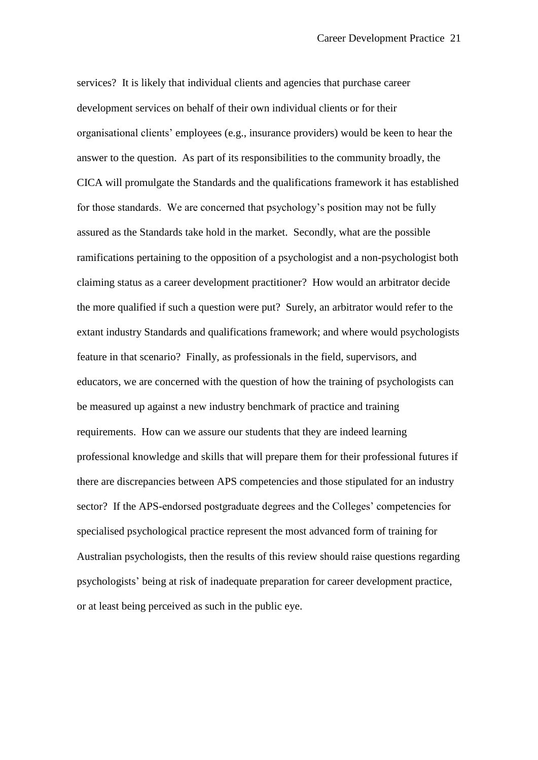services? It is likely that individual clients and agencies that purchase career development services on behalf of their own individual clients or for their organisational clients' employees (e.g., insurance providers) would be keen to hear the answer to the question. As part of its responsibilities to the community broadly, the CICA will promulgate the Standards and the qualifications framework it has established for those standards. We are concerned that psychology's position may not be fully assured as the Standards take hold in the market. Secondly, what are the possible ramifications pertaining to the opposition of a psychologist and a non-psychologist both claiming status as a career development practitioner? How would an arbitrator decide the more qualified if such a question were put? Surely, an arbitrator would refer to the extant industry Standards and qualifications framework; and where would psychologists feature in that scenario? Finally, as professionals in the field, supervisors, and educators, we are concerned with the question of how the training of psychologists can be measured up against a new industry benchmark of practice and training requirements. How can we assure our students that they are indeed learning professional knowledge and skills that will prepare them for their professional futures if there are discrepancies between APS competencies and those stipulated for an industry sector? If the APS-endorsed postgraduate degrees and the Colleges' competencies for specialised psychological practice represent the most advanced form of training for Australian psychologists, then the results of this review should raise questions regarding psychologists' being at risk of inadequate preparation for career development practice, or at least being perceived as such in the public eye.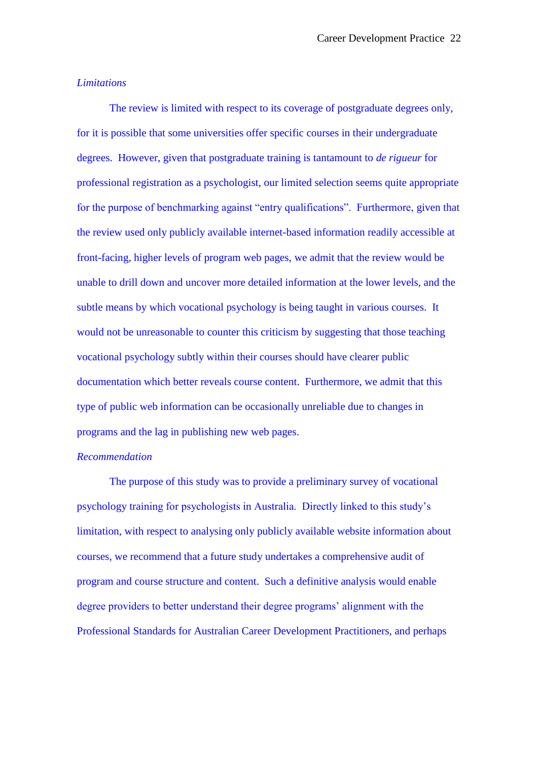### *Limitations*

The review is limited with respect to its coverage of postgraduate degrees only, for it is possible that some universities offer specific courses in their undergraduate degrees. However, given that postgraduate training is tantamount to *de rigueur* for professional registration as a psychologist, our limited selection seems quite appropriate for the purpose of benchmarking against "entry qualifications". Furthermore, given that the review used only publicly available internet-based information readily accessible at front-facing, higher levels of program web pages, we admit that the review would be unable to drill down and uncover more detailed information at the lower levels, and the subtle means by which vocational psychology is being taught in various courses. It would not be unreasonable to counter this criticism by suggesting that those teaching vocational psychology subtly within their courses should have clearer public documentation which better reveals course content. Furthermore, we admit that this type of public web information can be occasionally unreliable due to changes in programs and the lag in publishing new web pages.

# *Recommendation*

The purpose of this study was to provide a preliminary survey of vocational psychology training for psychologists in Australia. Directly linked to this study's limitation, with respect to analysing only publicly available website information about courses, we recommend that a future study undertakes a comprehensive audit of program and course structure and content. Such a definitive analysis would enable degree providers to better understand their degree programs' alignment with the Professional Standards for Australian Career Development Practitioners, and perhaps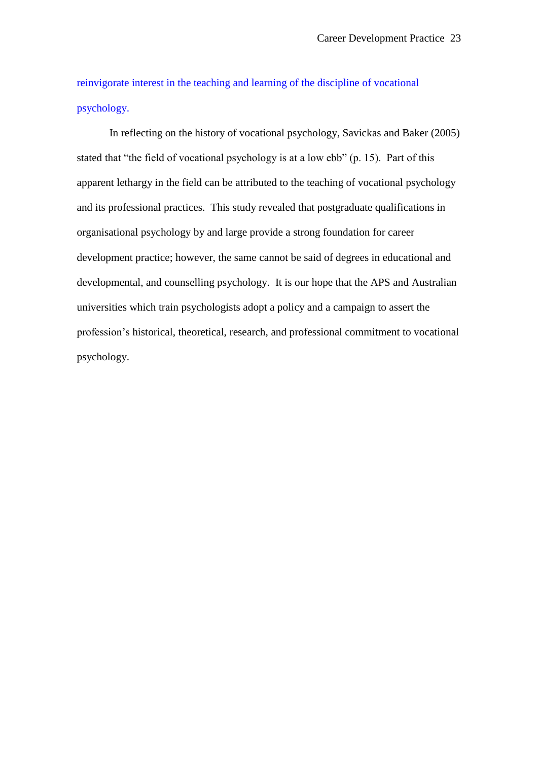reinvigorate interest in the teaching and learning of the discipline of vocational psychology.

In reflecting on the history of vocational psychology, Savickas and Baker (2005) stated that "the field of vocational psychology is at a low  $ebb$ " (p. 15). Part of this apparent lethargy in the field can be attributed to the teaching of vocational psychology and its professional practices. This study revealed that postgraduate qualifications in organisational psychology by and large provide a strong foundation for career development practice; however, the same cannot be said of degrees in educational and developmental, and counselling psychology. It is our hope that the APS and Australian universities which train psychologists adopt a policy and a campaign to assert the profession's historical, theoretical, research, and professional commitment to vocational psychology.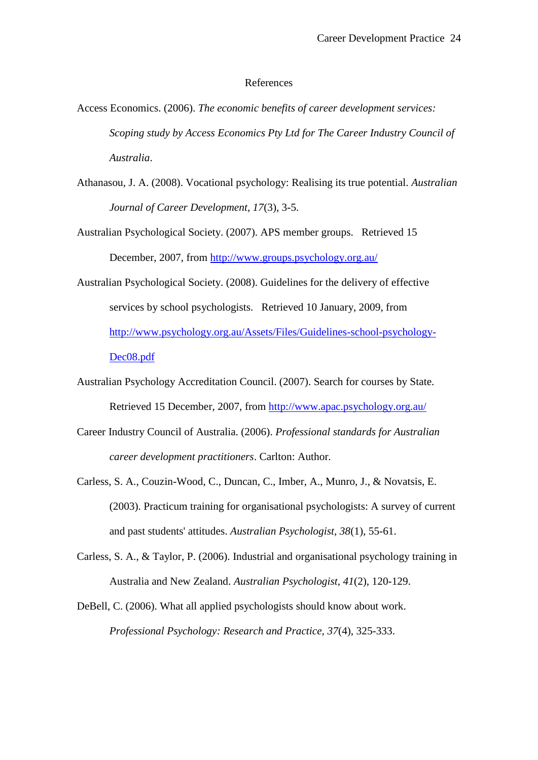### References

- Access Economics. (2006). *The economic benefits of career development services: Scoping study by Access Economics Pty Ltd for The Career Industry Council of Australia*.
- Athanasou, J. A. (2008). Vocational psychology: Realising its true potential. *Australian Journal of Career Development, 17*(3), 3-5.
- Australian Psychological Society. (2007). APS member groups. Retrieved 15 December, 2007, from<http://www.groups.psychology.org.au/>
- Australian Psychological Society. (2008). Guidelines for the delivery of effective services by school psychologists. Retrieved 10 January, 2009, from [http://www.psychology.org.au/Assets/Files/Guidelines-school-psychology-](http://www.psychology.org.au/Assets/Files/Guidelines-school-psychology-Dec08.pdf)[Dec08.pdf](http://www.psychology.org.au/Assets/Files/Guidelines-school-psychology-Dec08.pdf)
- Australian Psychology Accreditation Council. (2007). Search for courses by State. Retrieved 15 December, 2007, from<http://www.apac.psychology.org.au/>
- Career Industry Council of Australia. (2006). *Professional standards for Australian career development practitioners*. Carlton: Author.
- Carless, S. A., Couzin-Wood, C., Duncan, C., Imber, A., Munro, J., & Novatsis, E. (2003). Practicum training for organisational psychologists: A survey of current and past students' attitudes. *Australian Psychologist, 38*(1), 55-61.
- Carless, S. A., & Taylor, P. (2006). Industrial and organisational psychology training in Australia and New Zealand. *Australian Psychologist, 41*(2), 120-129.
- DeBell, C. (2006). What all applied psychologists should know about work. *Professional Psychology: Research and Practice, 37*(4), 325-333.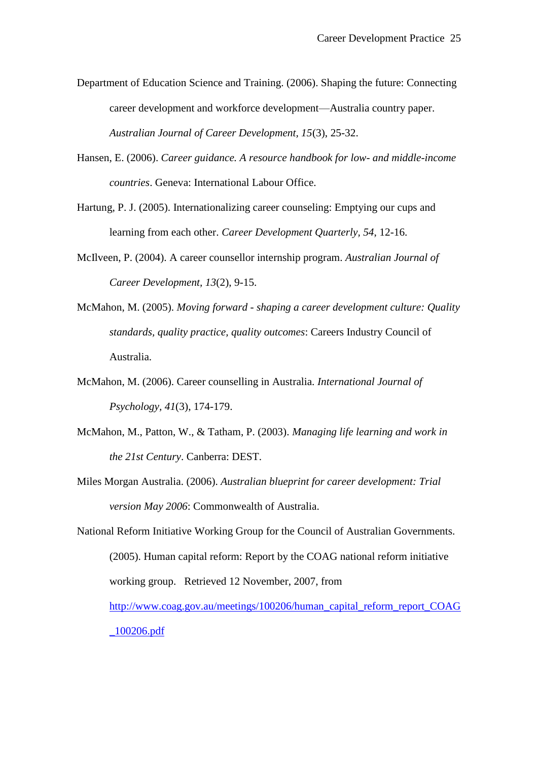- Department of Education Science and Training. (2006). Shaping the future: Connecting career development and workforce development—Australia country paper. *Australian Journal of Career Development, 15*(3), 25-32.
- Hansen, E. (2006). *Career guidance. A resource handbook for low- and middle-income countries*. Geneva: International Labour Office.
- Hartung, P. J. (2005). Internationalizing career counseling: Emptying our cups and learning from each other. *Career Development Quarterly, 54*, 12-16.
- McIlveen, P. (2004). A career counsellor internship program. *Australian Journal of Career Development, 13*(2), 9-15.
- McMahon, M. (2005). *Moving forward - shaping a career development culture: Quality standards, quality practice, quality outcomes*: Careers Industry Council of Australia.
- McMahon, M. (2006). Career counselling in Australia. *International Journal of Psychology, 41*(3), 174-179.
- McMahon, M., Patton, W., & Tatham, P. (2003). *Managing life learning and work in the 21st Century*. Canberra: DEST.
- Miles Morgan Australia. (2006). *Australian blueprint for career development: Trial version May 2006*: Commonwealth of Australia.

National Reform Initiative Working Group for the Council of Australian Governments. (2005). Human capital reform: Report by the COAG national reform initiative working group. Retrieved 12 November, 2007, from

[http://www.coag.gov.au/meetings/100206/human\\_capital\\_reform\\_report\\_COAG](http://www.coag.gov.au/meetings/100206/human_capital_reform_report_COAG_100206.pdf) [\\_100206.pdf](http://www.coag.gov.au/meetings/100206/human_capital_reform_report_COAG_100206.pdf)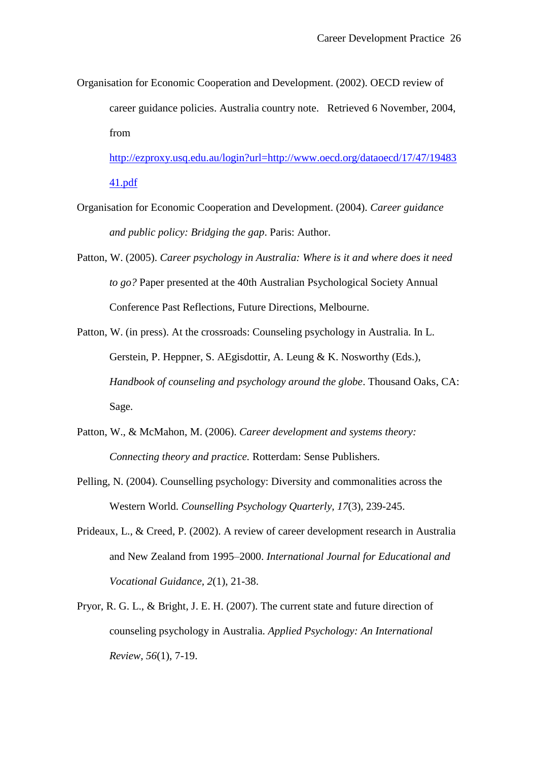Organisation for Economic Cooperation and Development. (2002). OECD review of career guidance policies. Australia country note. Retrieved 6 November, 2004, from

[http://ezproxy.usq.edu.au/login?url=http://www.oecd.org/dataoecd/17/47/19483](http://ezproxy.usq.edu.au/login?url=http://www.oecd.org/dataoecd/17/47/1948341.pdf) [41.pdf](http://ezproxy.usq.edu.au/login?url=http://www.oecd.org/dataoecd/17/47/1948341.pdf)

- Organisation for Economic Cooperation and Development. (2004). *Career guidance and public policy: Bridging the gap*. Paris: Author.
- Patton, W. (2005). *Career psychology in Australia: Where is it and where does it need to go?* Paper presented at the 40th Australian Psychological Society Annual Conference Past Reflections, Future Directions, Melbourne.
- Patton, W. (in press). At the crossroads: Counseling psychology in Australia. In L. Gerstein, P. Heppner, S. AEgisdottir, A. Leung & K. Nosworthy (Eds.), *Handbook of counseling and psychology around the globe*. Thousand Oaks, CA: Sage.
- Patton, W., & McMahon, M. (2006). *Career development and systems theory: Connecting theory and practice.* Rotterdam: Sense Publishers.
- Pelling, N. (2004). Counselling psychology: Diversity and commonalities across the Western World. *Counselling Psychology Quarterly, 17*(3), 239-245.
- Prideaux, L., & Creed, P. (2002). A review of career development research in Australia and New Zealand from 1995–2000. *International Journal for Educational and Vocational Guidance, 2*(1), 21-38.
- Pryor, R. G. L., & Bright, J. E. H. (2007). The current state and future direction of counseling psychology in Australia. *Applied Psychology: An International Review, 56*(1), 7-19.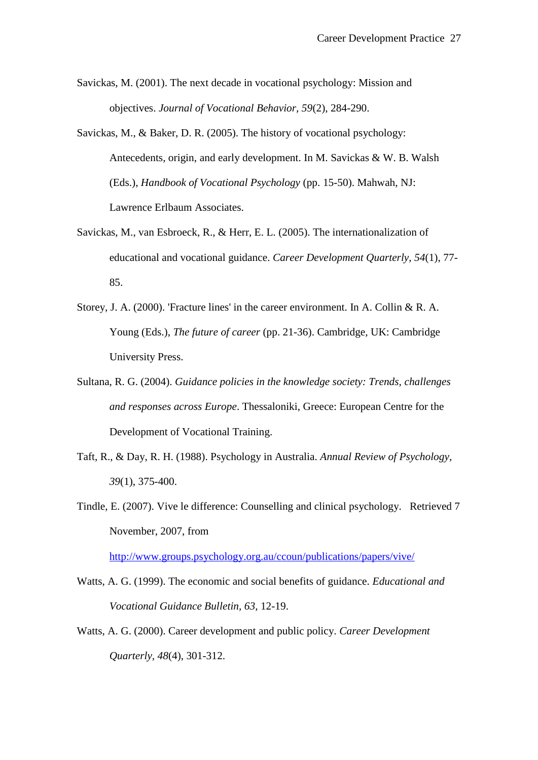- Savickas, M. (2001). The next decade in vocational psychology: Mission and objectives. *Journal of Vocational Behavior, 59*(2), 284-290.
- Savickas, M., & Baker, D. R. (2005). The history of vocational psychology: Antecedents, origin, and early development. In M. Savickas & W. B. Walsh (Eds.), *Handbook of Vocational Psychology* (pp. 15-50). Mahwah, NJ: Lawrence Erlbaum Associates.
- Savickas, M., van Esbroeck, R., & Herr, E. L. (2005). The internationalization of educational and vocational guidance. *Career Development Quarterly, 54*(1), 77- 85.
- Storey, J. A. (2000). 'Fracture lines' in the career environment. In A. Collin & R. A. Young (Eds.), *The future of career* (pp. 21-36). Cambridge, UK: Cambridge University Press.
- Sultana, R. G. (2004). *Guidance policies in the knowledge society: Trends, challenges and responses across Europe*. Thessaloniki, Greece: European Centre for the Development of Vocational Training.
- Taft, R., & Day, R. H. (1988). Psychology in Australia. *Annual Review of Psychology, 39*(1), 375-400.
- Tindle, E. (2007). Vive le difference: Counselling and clinical psychology. Retrieved 7 November, 2007, from

<http://www.groups.psychology.org.au/ccoun/publications/papers/vive/>

- Watts, A. G. (1999). The economic and social benefits of guidance. *Educational and Vocational Guidance Bulletin, 63*, 12-19.
- Watts, A. G. (2000). Career development and public policy. *Career Development Quarterly, 48*(4), 301-312.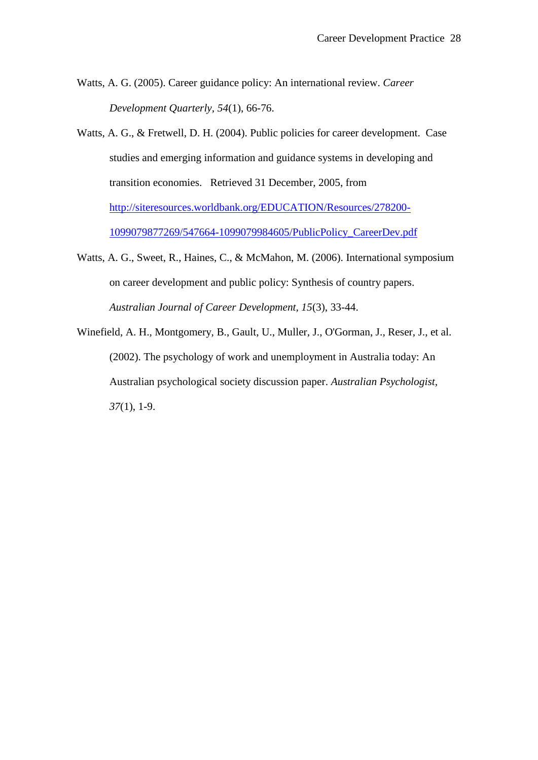- Watts, A. G. (2005). Career guidance policy: An international review. *Career Development Quarterly, 54*(1), 66-76.
- Watts, A. G., & Fretwell, D. H. (2004). Public policies for career development. Case studies and emerging information and guidance systems in developing and transition economies. Retrieved 31 December, 2005, from [http://siteresources.worldbank.org/EDUCATION/Resources/278200-](http://siteresources.worldbank.org/EDUCATION/Resources/278200-1099079877269/547664-1099079984605/PublicPolicy_CareerDev.pdf) [1099079877269/547664-1099079984605/PublicPolicy\\_CareerDev.pdf](http://siteresources.worldbank.org/EDUCATION/Resources/278200-1099079877269/547664-1099079984605/PublicPolicy_CareerDev.pdf)
- Watts, A. G., Sweet, R., Haines, C., & McMahon, M. (2006). International symposium on career development and public policy: Synthesis of country papers. *Australian Journal of Career Development, 15*(3), 33-44.
- Winefield, A. H., Montgomery, B., Gault, U., Muller, J., O'Gorman, J., Reser, J., et al. (2002). The psychology of work and unemployment in Australia today: An Australian psychological society discussion paper. *Australian Psychologist, 37*(1), 1-9.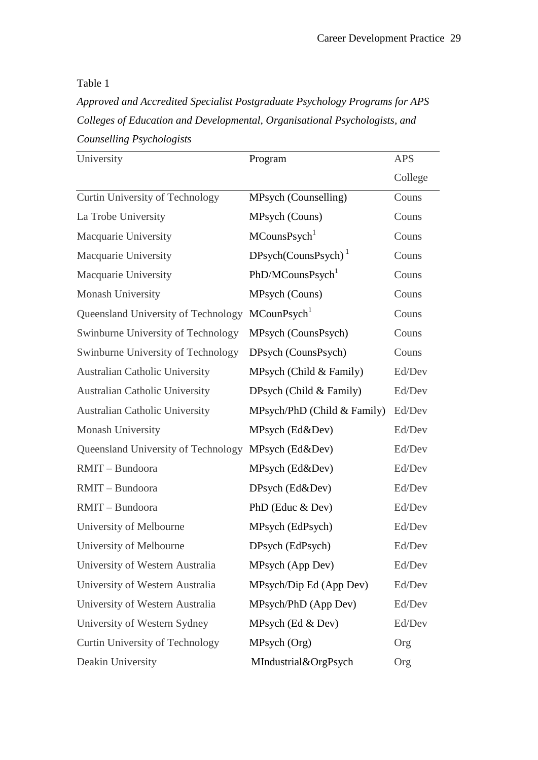Table 1

*Approved and Accredited Specialist Postgraduate Psychology Programs for APS Colleges of Education and Developmental, Organisational Psychologists, and Counselling Psychologists*

| University                            | Program                      | <b>APS</b> |
|---------------------------------------|------------------------------|------------|
|                                       |                              | College    |
| Curtin University of Technology       | MPsych (Counselling)         | Couns      |
| La Trobe University                   | MPsych (Couns)               | Couns      |
| Macquarie University                  | MCounsPsych <sup>1</sup>     | Couns      |
| Macquarie University                  | $DPsych(CounsPsych)^1$       | Couns      |
| Macquarie University                  | PhD/MCounsPsych <sup>1</sup> | Couns      |
| Monash University                     | MPsych (Couns)               | Couns      |
| Queensland University of Technology   | MCounPsych <sup>1</sup>      | Couns      |
| Swinburne University of Technology    | MPsych (CounsPsych)          | Couns      |
| Swinburne University of Technology    | DPsych (CounsPsych)          | Couns      |
| <b>Australian Catholic University</b> | MPsych (Child & Family)      | Ed/Dev     |
| <b>Australian Catholic University</b> | DPsych (Child & Family)      | Ed/Dev     |
| <b>Australian Catholic University</b> | MPsych/PhD (Child & Family)  | Ed/Dev     |
| Monash University                     | MPsych (Ed&Dev)              | Ed/Dev     |
| Queensland University of Technology   | MPsych (Ed&Dev)              | Ed/Dev     |
| RMIT - Bundoora                       | MPsych (Ed&Dev)              | Ed/Dev     |
| RMIT - Bundoora                       | DPsych (Ed&Dev)              | Ed/Dev     |
| RMIT-Bundoora                         | PhD (Educ & Dev)             | Ed/Dev     |
| University of Melbourne               | MPsych (EdPsych)             | Ed/Dev     |
| University of Melbourne               | DPsych (EdPsych)             | Ed/Dev     |
| University of Western Australia       | MPsych (App Dev)             | Ed/Dev     |
| University of Western Australia       | MPsych/Dip Ed (App Dev)      | Ed/Dev     |
| University of Western Australia       | MPsych/PhD (App Dev)         | Ed/Dev     |
| University of Western Sydney          | MPsych $(Ed \& Dev)$         | Ed/Dev     |
| Curtin University of Technology       | MPsych (Org)                 | Org        |
| Deakin University                     | MIndustrial&OrgPsych         | Org        |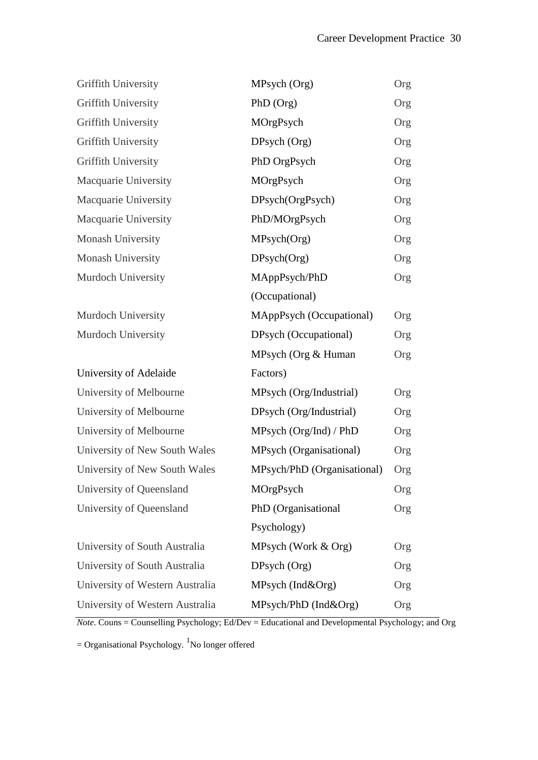| Griffith University             | MPsych (Org)                | Org |
|---------------------------------|-----------------------------|-----|
| Griffith University             | $PhD$ (Org)                 | Org |
| Griffith University             | MOrgPsych                   | Org |
| Griffith University             | DPsych (Org)                | Org |
| Griffith University             | PhD OrgPsych                | Org |
| Macquarie University            | MOrgPsych                   | Org |
| Macquarie University            | DPsych(OrgPsych)            | Org |
| Macquarie University            | PhD/MOrgPsych               | Org |
| Monash University               | MPsych(Org)                 | Org |
| Monash University               | DPsych(Org)                 | Org |
| Murdoch University              | MAppPsych/PhD               | Org |
|                                 | (Occupational)              |     |
| Murdoch University              | MAppPsych (Occupational)    | Org |
| Murdoch University              | DPsych (Occupational)       | Org |
|                                 | MPsych (Org & Human         | Org |
| University of Adelaide          | Factors)                    |     |
| University of Melbourne         | MPsych (Org/Industrial)     | Org |
| University of Melbourne         | DPsych (Org/Industrial)     | Org |
| University of Melbourne         | MPsych (Org/Ind) / PhD      | Org |
| University of New South Wales   | MPsych (Organisational)     | Org |
| University of New South Wales   | MPsych/PhD (Organisational) | Org |
| University of Queensland        | MOrgPsych                   | Org |
| University of Queensland        | PhD (Organisational         | Org |
|                                 | Psychology)                 |     |
| University of South Australia   | MPsych (Work & Org)         | Org |
| University of South Australia   | DPsych (Org)                | Org |
| University of Western Australia | MPsych (Ind&Org)            | Org |
| University of Western Australia | MPsych/PhD (Ind&Org)        | Org |

*Note*. Couns = Counselling Psychology; Ed/Dev = Educational and Developmental Psychology; and Org

 $=$  Organisational Psychology. <sup>1</sup>No longer offered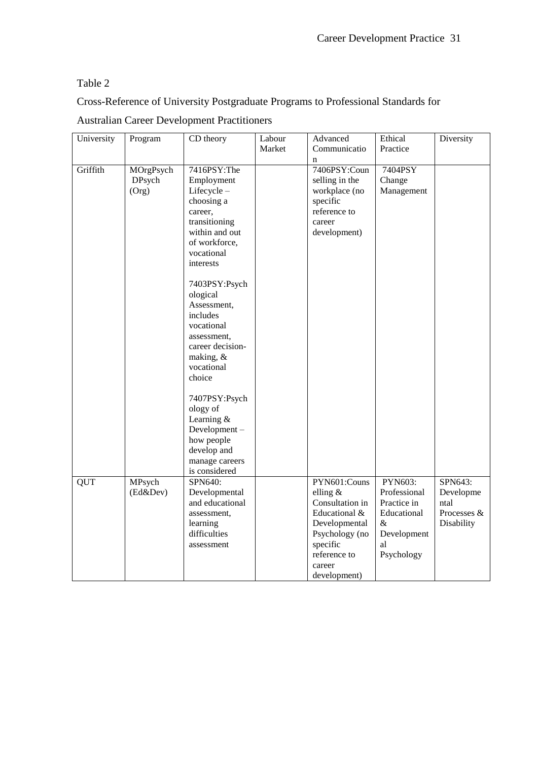# Table 2

Cross-Reference of University Postgraduate Programs to Professional Standards for

| University | Program                      | CD theory                                                                                                                                                                                                                                                                                                                                                                                                                  | Labour<br>Market | Advanced<br>Communicatio                                                                                                                                | Ethical<br>Practice                                                                              | Diversity                                                 |
|------------|------------------------------|----------------------------------------------------------------------------------------------------------------------------------------------------------------------------------------------------------------------------------------------------------------------------------------------------------------------------------------------------------------------------------------------------------------------------|------------------|---------------------------------------------------------------------------------------------------------------------------------------------------------|--------------------------------------------------------------------------------------------------|-----------------------------------------------------------|
| Griffith   | MOrgPsych<br>DPsych<br>(Org) | 7416PSY:The<br>Employment<br>Lifecycle-<br>choosing a<br>career,<br>transitioning<br>within and out<br>of workforce,<br>vocational<br>interests<br>7403PSY:Psych<br>ological<br>Assessment,<br>includes<br>vocational<br>assessment,<br>career decision-<br>making, &<br>vocational<br>choice<br>7407PSY:Psych<br>ology of<br>Learning $&$<br>Development-<br>how people<br>develop and<br>manage careers<br>is considered |                  | $\mathbf n$<br>7406PSY:Coun<br>selling in the<br>workplace (no<br>specific<br>reference to<br>career<br>development)                                    | 7404PSY<br>Change<br>Management                                                                  |                                                           |
| <b>QUT</b> | MPsych<br>(Ed&Dev)           | SPN640:<br>Developmental<br>and educational<br>assessment,<br>learning<br>difficulties<br>assessment                                                                                                                                                                                                                                                                                                                       |                  | PYN601:Couns<br>elling $&$<br>Consultation in<br>Educational &<br>Developmental<br>Psychology (no<br>specific<br>reference to<br>career<br>development) | PYN603:<br>Professional<br>Practice in<br>Educational<br>$\&$<br>Development<br>al<br>Psychology | SPN643:<br>Developme<br>ntal<br>Processes &<br>Disability |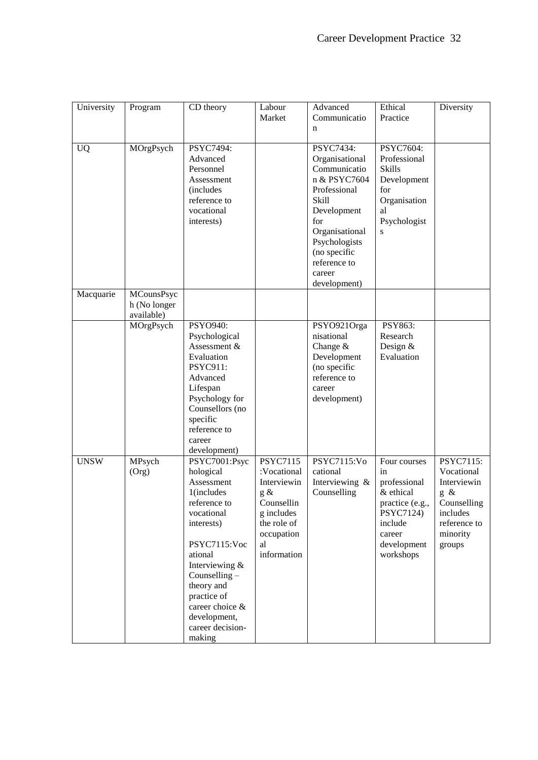| University  | Program                                         | CD theory                                                                                                                                                                                                                                                      | Labour<br>Market                                                                                                                      | Advanced<br>Communicatio<br>n                                                                                                                                                                           | Ethical<br>Practice                                                                                                              | Diversity                                                                                                      |
|-------------|-------------------------------------------------|----------------------------------------------------------------------------------------------------------------------------------------------------------------------------------------------------------------------------------------------------------------|---------------------------------------------------------------------------------------------------------------------------------------|---------------------------------------------------------------------------------------------------------------------------------------------------------------------------------------------------------|----------------------------------------------------------------------------------------------------------------------------------|----------------------------------------------------------------------------------------------------------------|
| <b>UQ</b>   | MOrgPsych                                       | PSYC7494:<br>Advanced<br>Personnel<br>Assessment<br><i>(includes)</i><br>reference to<br>vocational<br>interests)                                                                                                                                              |                                                                                                                                       | PSYC7434:<br>Organisational<br>Communicatio<br>n & PSYC7604<br>Professional<br>Skill<br>Development<br>for<br>Organisational<br>Psychologists<br>(no specific<br>reference to<br>career<br>development) | PSYC7604:<br>Professional<br><b>Skills</b><br>Development<br>for<br>Organisation<br>al<br>Psychologist<br>S                      |                                                                                                                |
| Macquarie   | <b>MCounsPsyc</b><br>h (No longer<br>available) |                                                                                                                                                                                                                                                                |                                                                                                                                       |                                                                                                                                                                                                         |                                                                                                                                  |                                                                                                                |
|             | MOrgPsych                                       | PSYO940:<br>Psychological<br>Assessment &<br>Evaluation<br>PSYC911:<br>Advanced<br>Lifespan<br>Psychology for<br>Counsellors (no<br>specific<br>reference to<br>career<br>development)                                                                         |                                                                                                                                       | PSYO921Orga<br>nisational<br>Change $&$<br>Development<br>(no specific<br>reference to<br>career<br>development)                                                                                        | PSY863:<br>Research<br>Design $&$<br>Evaluation                                                                                  |                                                                                                                |
| <b>UNSW</b> | MPsych<br>(Org)                                 | PSYC7001:Psyc<br>hological<br>Assessment<br>1(includes<br>reference to<br>vocational<br>interests)<br>PSYC7115:Voc<br>ational<br>Interviewing &<br>Counselling -<br>theory and<br>practice of<br>career choice &<br>development,<br>career decision-<br>making | <b>PSYC7115</b><br>:Vocational<br>Interviewin<br>g $\&$<br>Counsellin<br>g includes<br>the role of<br>occupation<br>al<br>information | PSYC7115:Vo<br>cational<br>Interviewing &<br>Counselling                                                                                                                                                | Four courses<br>in<br>professional<br>& ethical<br>practice (e.g.,<br>PSYC7124)<br>include<br>career<br>development<br>workshops | PSYC7115:<br>Vocational<br>Interviewin<br>g &<br>Counselling<br>includes<br>reference to<br>minority<br>groups |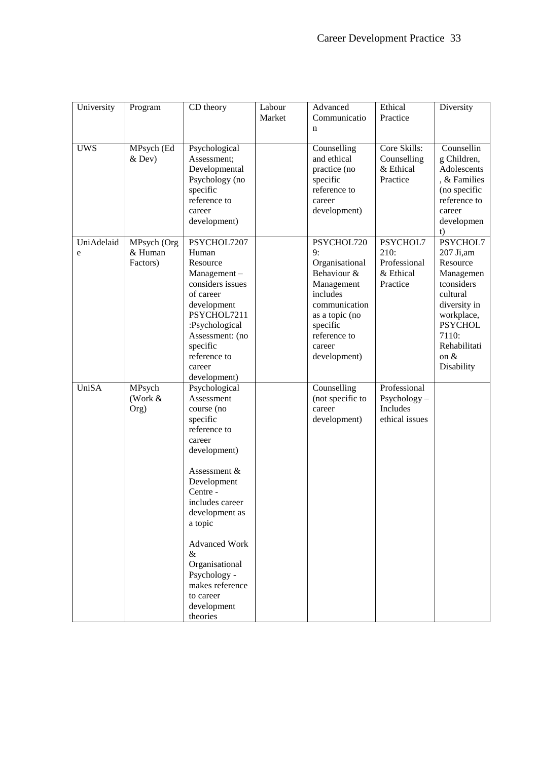| University      | Program                            | CD theory                                                                                                                                                                                                                                                                                                            | Labour<br>Market | Advanced<br>Communicatio<br>n                                                                                                                                        | Ethical<br>Practice                                          | Diversity                                                                                                                                                                  |
|-----------------|------------------------------------|----------------------------------------------------------------------------------------------------------------------------------------------------------------------------------------------------------------------------------------------------------------------------------------------------------------------|------------------|----------------------------------------------------------------------------------------------------------------------------------------------------------------------|--------------------------------------------------------------|----------------------------------------------------------------------------------------------------------------------------------------------------------------------------|
| <b>UWS</b>      | MPsych (Ed<br>$&$ Dev)             | Psychological<br>Assessment;<br>Developmental<br>Psychology (no<br>specific<br>reference to<br>career<br>development)                                                                                                                                                                                                |                  | Counselling<br>and ethical<br>practice (no<br>specific<br>reference to<br>career<br>development)                                                                     | Core Skills:<br>Counselling<br>& Ethical<br>Practice         | Counsellin<br>g Children,<br>Adolescents<br>, & Families<br>(no specific<br>reference to<br>career<br>developmen<br>t)                                                     |
| UniAdelaid<br>e | MPsych (Org<br>& Human<br>Factors) | PSYCHOL7207<br>Human<br>Resource<br>Management-<br>considers issues<br>of career<br>development<br>PSYCHOL7211<br>:Psychological<br>Assessment: (no<br>specific<br>reference to<br>career<br>development)                                                                                                            |                  | PSYCHOL720<br>9:<br>Organisational<br>Behaviour &<br>Management<br>includes<br>communication<br>as a topic (no<br>specific<br>reference to<br>career<br>development) | PSYCHOL7<br>210:<br>Professional<br>& Ethical<br>Practice    | PSYCHOL7<br>207 Ji,am<br>Resource<br>Managemen<br>tconsiders<br>cultural<br>diversity in<br>workplace,<br><b>PSYCHOL</b><br>7110:<br>Rehabilitati<br>on $\&$<br>Disability |
| <b>UniSA</b>    | MPsych<br>(Work &<br>Org)          | Psychological<br>Assessment<br>course (no<br>specific<br>reference to<br>career<br>development)<br>Assessment &<br>Development<br>Centre -<br>includes career<br>development as<br>a topic<br><b>Advanced Work</b><br>&<br>Organisational<br>Psychology -<br>makes reference<br>to career<br>development<br>theories |                  | Counselling<br>(not specific to<br>career<br>development)                                                                                                            | Professional<br>$Psychology -$<br>Includes<br>ethical issues |                                                                                                                                                                            |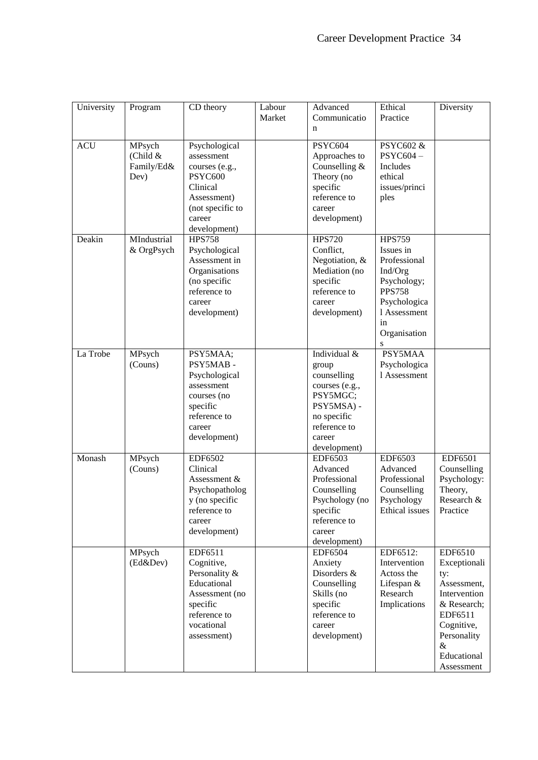| University | Program                                  | CD theory                                                                                                                         | Labour<br>Market | Advanced<br>Communicatio<br>n                                                                                                             | Ethical<br>Practice                                                                                                                              | Diversity                                                                                                                                                 |
|------------|------------------------------------------|-----------------------------------------------------------------------------------------------------------------------------------|------------------|-------------------------------------------------------------------------------------------------------------------------------------------|--------------------------------------------------------------------------------------------------------------------------------------------------|-----------------------------------------------------------------------------------------------------------------------------------------------------------|
| <b>ACU</b> | MPsych<br>(Child &<br>Family/Ed&<br>Dev) | Psychological<br>assessment<br>courses (e.g.,<br>PSYC600<br>Clinical<br>Assessment)<br>(not specific to<br>career<br>development) |                  | PSYC604<br>Approaches to<br>Counselling $&$<br>Theory (no<br>specific<br>reference to<br>career<br>development)                           | PSYC602 &<br>PSYC604-<br>Includes<br>ethical<br>issues/princi<br>ples                                                                            |                                                                                                                                                           |
| Deakin     | MIndustrial<br>& OrgPsych                | <b>HPS758</b><br>Psychological<br>Assessment in<br>Organisations<br>(no specific<br>reference to<br>career<br>development)        |                  | <b>HPS720</b><br>Conflict,<br>Negotiation, &<br>Mediation (no<br>specific<br>reference to<br>career<br>development)                       | <b>HPS759</b><br>Issues in<br>Professional<br>Ind/Org<br>Psychology;<br><b>PPS758</b><br>Psychologica<br>1 Assessment<br>in<br>Organisation<br>S |                                                                                                                                                           |
| La Trobe   | MPsych<br>(Couns)                        | PSY5MAA;<br>PSY5MAB-<br>Psychological<br>assessment<br>courses (no<br>specific<br>reference to<br>career<br>development)          |                  | Individual &<br>group<br>counselling<br>courses (e.g.,<br>PSY5MGC;<br>PSY5MSA) -<br>no specific<br>reference to<br>career<br>development) | PSY5MAA<br>Psychologica<br>1 Assessment                                                                                                          |                                                                                                                                                           |
| Monash     | MPsych<br>(Couns)                        | EDF6502<br>Clinical<br>Assessment &<br>Psychopatholog<br>y (no specific<br>reference to<br>career<br>development)                 |                  | EDF6503<br>Advanced<br>Professional<br>Counselling<br>Psychology (no<br>specific<br>reference to<br>career<br>development)                | EDF6503<br>Advanced<br>Professional<br>Counselling<br>Psychology<br>Ethical issues                                                               | EDF6501<br>Counselling<br>Psychology:<br>Theory,<br>Research &<br>Practice                                                                                |
|            | MPsych<br>(Ed&Dev)                       | EDF6511<br>Cognitive,<br>Personality &<br>Educational<br>Assessment (no<br>specific<br>reference to<br>vocational<br>assessment)  |                  | <b>EDF6504</b><br>Anxiety<br>Disorders &<br>Counselling<br>Skills (no<br>specific<br>reference to<br>career<br>development)               | EDF6512:<br>Intervention<br>Actoss the<br>Lifespan &<br>Research<br>Implications                                                                 | EDF6510<br>Exceptionali<br>ty:<br>Assessment,<br>Intervention<br>& Research;<br>EDF6511<br>Cognitive,<br>Personality<br>$\&$<br>Educational<br>Assessment |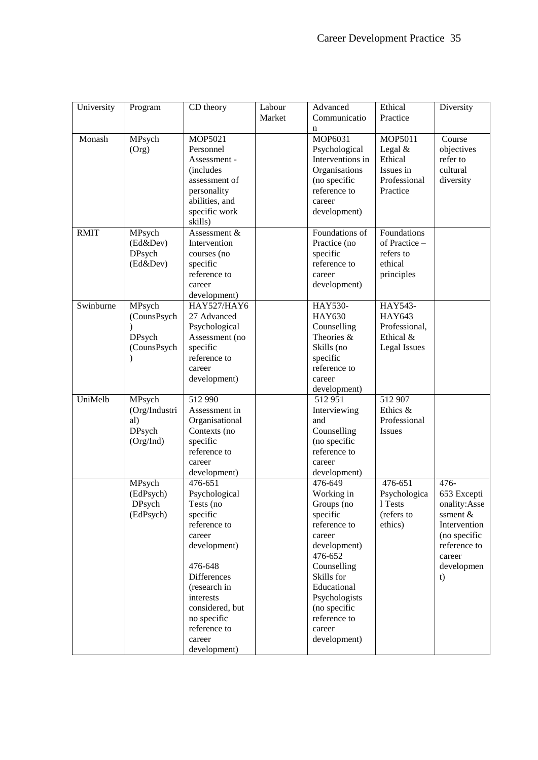| University<br>CD theory<br>Labour<br>Advanced<br>Ethical<br>Program    | Diversity    |
|------------------------------------------------------------------------|--------------|
| Market<br>Communicatio<br>Practice                                     |              |
| n                                                                      |              |
| MOP6031<br>MPsych<br><b>MOP5021</b><br>MOP5011<br>Monash               | Course       |
| Legal $&$<br>(Org)<br>Personnel<br>Psychological                       | objectives   |
| Interventions in<br>Ethical<br>Assessment -                            | refer to     |
| Organisations<br>Issues in<br><i>(includes)</i>                        | cultural     |
| (no specific<br>Professional<br>assessment of                          | diversity    |
| reference to<br>Practice<br>personality                                |              |
| abilities, and<br>career                                               |              |
| specific work<br>development)                                          |              |
| skills)                                                                |              |
| Foundations of<br><b>RMIT</b><br>MPsych<br>Assessment &<br>Foundations |              |
| (Ed&Dev)<br>Intervention<br>Practice (no<br>of Practice -              |              |
| DPsych<br>specific<br>refers to<br>courses (no                         |              |
| reference to<br>(Ed&Dev)<br>specific<br>ethical                        |              |
| reference to<br>principles<br>career                                   |              |
| development)<br>career                                                 |              |
| development)                                                           |              |
| Swinburne<br>MPsych<br>HAY527/HAY6<br><b>HAY530-</b><br>HAY543-        |              |
| <b>HAY630</b><br>27 Advanced<br><b>HAY643</b><br>(CounsPsych           |              |
| Psychological<br>Counselling<br>Professional,                          |              |
| Theories &<br>DPsych<br>Assessment (no<br>Ethical &                    |              |
| (CounsPsych<br>specific<br>Skills (no<br><b>Legal Issues</b>           |              |
| reference to<br>specific                                               |              |
| reference to<br>career                                                 |              |
| development)<br>career                                                 |              |
| development)                                                           |              |
| 512 907<br>UniMelb<br>MPsych<br>512 990<br>512951                      |              |
| Assessment in<br>Interviewing<br>Ethics &<br>(Org/Industri             |              |
| al)<br>Organisational<br>Professional<br>and                           |              |
| <b>DPsych</b><br>Counselling<br>Contexts (no<br><b>Issues</b>          |              |
| specific<br>(no specific<br>Org/Ind)                                   |              |
| reference to<br>reference to                                           |              |
| career<br>career                                                       |              |
| development)<br>development)                                           |              |
| 476-651<br>MPsych<br>476-651<br>476-649                                | 476-         |
| (EdPsych)<br>Psychological<br>Working in<br>Psychologica               | 653 Excepti  |
| DPsych<br>Tests (no<br>Groups (no<br>1 Tests                           | onality:Asse |
| (EdPsych)<br>specific<br>specific<br>(refers to                        | ssment &     |
| reference to<br>reference to<br>ethics)                                | Intervention |
| career<br>career                                                       | (no specific |
| development)<br>development)                                           | reference to |
| 476-652                                                                | career       |
| 476-648<br>Counselling                                                 | developmen   |
| <b>Differences</b><br>Skills for                                       | t)           |
| Educational<br>(research in                                            |              |
| Psychologists<br>interests                                             |              |
| considered, but<br>(no specific                                        |              |
| no specific<br>reference to                                            |              |
| reference to<br>career                                                 |              |
|                                                                        |              |
| development)<br>career                                                 |              |